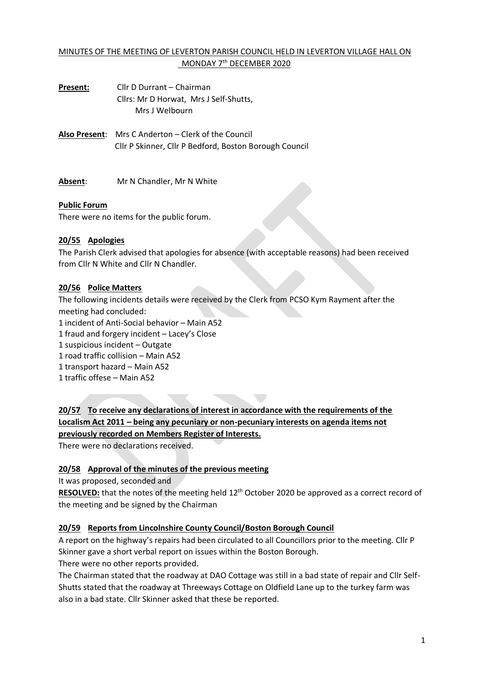## MINUTES OF THE MEETING OF LEVERTON PARISH COUNCIL HELD IN LEVERTON VILLAGE HALL ON MONDAY 7<sup>th</sup> DECEMBER 2020

**Present:** Cllr D Durrant – Chairman Cllrs: Mr D Horwat, Mrs J Self-Shutts, Mrs J Welbourn

**Also Present**: Mrs C Anderton – Clerk of the Council Cllr P Skinner, Cllr P Bedford, Boston Borough Council

**Absent**: Mr N Chandler, Mr N White

### **Public Forum**

There were no items for the public forum.

### **20/55 Apologies**

The Parish Clerk advised that apologies for absence (with acceptable reasons) had been received from Cllr N White and Cllr N Chandler.

### **20/56 Police Matters**

The following incidents details were received by the Clerk from PCSO Kym Rayment after the meeting had concluded:

1 incident of Anti-Social behavior – Main A52

1 fraud and forgery incident – Lacey's Close

1 suspicious incident – Outgate

1 road traffic collision – Main A52

1 transport hazard – Main A52

1 traffic offese – Main A52

**20/57 To receive any declarations of interest in accordance with the requirements of the Localism Act 2011 – being any pecuniary or non-pecuniary interests on agenda items not previously recorded on Members Register of Interests.**

There were no declarations received.

### **20/58 Approval of the minutes of the previous meeting**

It was proposed, seconded and

RESOLVED: that the notes of the meeting held 12<sup>th</sup> October 2020 be approved as a correct record of the meeting and be signed by the Chairman

### **20/59 Reports from Lincolnshire County Council/Boston Borough Council**

A report on the highway's repairs had been circulated to all Councillors prior to the meeting. Cllr P Skinner gave a short verbal report on issues within the Boston Borough. There were no other reports provided.

The Chairman stated that the roadway at DAO Cottage was still in a bad state of repair and Cllr Self-Shutts stated that the roadway at Threeways Cottage on Oldfield Lane up to the turkey farm was also in a bad state. Cllr Skinner asked that these be reported.